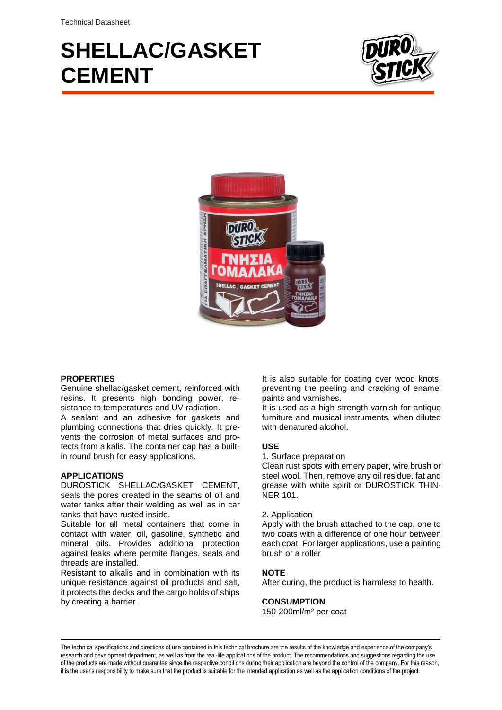# **SHELLAC/GASKET CEMENT**





## **PROPERTIES**

Genuine shellac/gasket cement, reinforced with resins. It presents high bonding power, resistance to temperatures and UV radiation.

A sealant and an adhesive for gaskets and plumbing connections that dries quickly. It prevents the corrosion of metal surfaces and protects from alkalis. The container cap has a builtin round brush for easy applications.

#### **APPLICATIONS**

DUROSTICK SHELLAC/GASKET CEMENT, seals the pores created in the seams of oil and water tanks after their welding as well as in car tanks that have rusted inside.

Suitable for all metal containers that come in contact with water, oil, gasoline, synthetic and mineral oils. Provides additional protection against leaks where permite flanges, seals and threads are installed.

Resistant to alkalis and in combination with its unique resistance against oil products and salt, it protects the decks and the cargo holds of ships by creating a barrier.

It is also suitable for coating over wood knots, preventing the peeling and cracking of enamel paints and varnishes.

It is used as a high-strength varnish for antique furniture and musical instruments, when diluted with denatured alcohol.

#### **USE**

1. Surface preparation

Clean rust spots with emery paper, wire brush or steel wool. Then, remove any oil residue, fat and grease with white spirit or DUROSTICK THIN-NER 101.

#### 2. Application

Apply with the brush attached to the cap, one to two coats with a difference of one hour between each coat. For larger applications, use a painting brush or a roller

#### **NOTE**

After curing, the product is harmless to health.

#### **CONSUMPTION**

150-200ml/m² per coat

The technical specifications and directions of use contained in this technical brochure are the results of the knowledge and experience of the company's research and development department, as well as from the real-life applications of the product. The recommendations and suggestions regarding the use of the products are made without guarantee since the respective conditions during their application are beyond the control of the company. For this reason, it is the user's responsibility to make sure that the product is suitable for the intended application as well as the application conditions of the project.